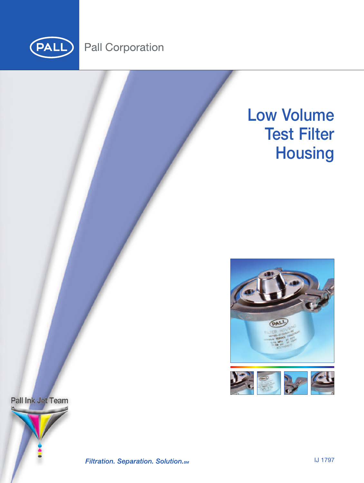

## **Pall Corporation**

# **Low Volume Test Filter Housing**



Pall Ink Jet Team



**Filtration. Separation. Solution.**sm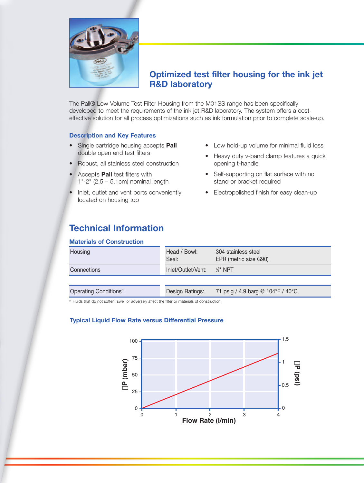

## **Optimized test filter housing for the ink jet R&D laboratory**

The Pall® Low Volume Test Filter Housing from the M01SS range has been specifically developed to meet the requirements of the ink jet R&D laboratory. The system offers a costeffective solution for all process optimizations such as ink formulation prior to complete scale-up.

#### **Description and Key Features**

- Single cartridge housing accepts **Pall** double open end test filters
- Robust, all stainless steel construction
- Accepts **Pall** test filters with 1"-2" (2.5 – 5.1cm) nominal length
- Inlet, outlet and vent ports conveniently located on housing top
- Low hold-up volume for minimal fluid loss
- Heavy duty v-band clamp features a quick opening t-handle
- Self-supporting on flat surface with no stand or bracket required
- Electropolished finish for easy clean-up

## **Technical Information**

#### **Materials of Construction**

| Housing                             | Head / Bowl:<br>Seal:     | 304 stainless steel<br>EPR (metric size G90) |
|-------------------------------------|---------------------------|----------------------------------------------|
| Connections                         | Inlet/Outlet/Vent: ¼" NPT |                                              |
|                                     |                           |                                              |
| Operating Conditions <sup>(1)</sup> | Design Ratings:           | 71 psig / 4.9 barg @ 104°F / 40°C            |

(1) Fluids that do not soften, swell or adversely affect the filter or materials of construction

### **Typical Liquid Flow Rate versus Differential Pressure**

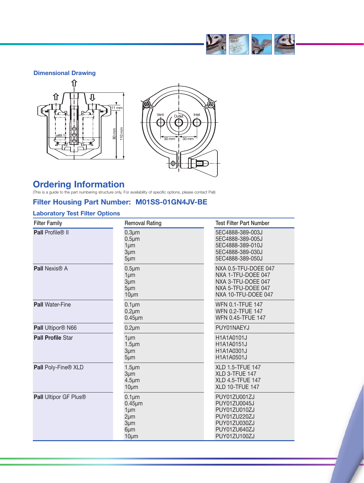

## **Dimensional Drawing**





## **Ordering Information**

(This is a guide to the part numbering structure only. For availability of specific options, please contact Pall)

## **Filter Housing Part Number: M01SS-01GN4JV-BE**

## **Laboratory Test Filter Options**

| <b>Filter Family</b>         | <b>Removal Rating</b>                                                                         | <b>Test Filter Part Number</b>                                                                                |
|------------------------------|-----------------------------------------------------------------------------------------------|---------------------------------------------------------------------------------------------------------------|
| Pall Profile® II             | $0.3 \mu m$<br>$0.5 \mu m$<br>1um<br>$3 \mu m$<br>$5 \mu m$                                   | 5EC4888-389-003J<br>5EC4888-389-005J<br>5EC4888-389-010J<br>5EC4888-389-030J<br>5EC4888-389-050J              |
| <b>Pall Nexis® A</b>         | $0.5 \mu m$<br>1µm<br>3µm<br>$5 \mu m$<br>10 <sub>µm</sub>                                    | NXA 0.5-TFU-DOEE 047<br>NXA 1-TFU-DOEE 047<br>NXA 3-TFU-DOEE 047<br>NXA 5-TFU-DOEE 047<br>NXA 10-TFU-DOEE 047 |
| <b>Pall Water-Fine</b>       | $0.1 \mu m$<br>$0.2 \mu m$<br>$0.45 \mu m$                                                    | <b>WFN 0.1-TFUE 147</b><br><b>WFN 0.2-TFUE 147</b><br><b>WFN 0.45-TFUE 147</b>                                |
| Pall Ultipor® N66            | $0.2 \mu m$                                                                                   | PUY01NAEYJ                                                                                                    |
| <b>Pall Profile Star</b>     | 1um<br>$1.5 \mu m$<br>$3 \mu m$<br>$5 \mu m$                                                  | H1A1A0101J<br>H1A1A0151J<br>H1A1A0301J<br>H1A1A0501J                                                          |
| Pall Poly-Fine® XLD          | $1.5 \mu m$<br>$3 \mu m$<br>$4.5 \mu m$<br>$10 \mu m$                                         | <b>XLD 1.5-TFUE 147</b><br>XLD 3-TFUE 147<br><b>XLD 4.5-TFUE 147</b><br><b>XLD 10-TFUE 147</b>                |
| <b>Pall Ultipor GF Plus®</b> | $0.1 \mu m$<br>$0.45 \mu m$<br>$1 \mu m$<br>$2 \mu m$<br>$3 \mu m$<br>6µm<br>10 <sub>µm</sub> | PUY01ZU001ZJ<br>PUY01ZU0045J<br>PUY01ZU010ZJ<br>PUY01ZU220ZJ<br>PUY01ZU030ZJ<br>PUY01ZU640ZJ<br>PUY01ZU100ZJ  |